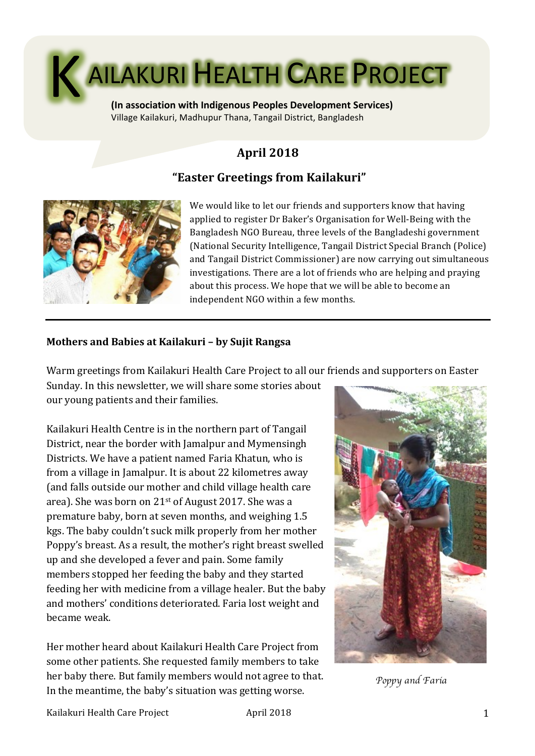

**(In association with Indigenous Peoples Development Services)** Village Kailakuri, Madhupur Thana, Tangail District, Bangladesh

# **April 2018**

# **"Easter Greetings from Kailakuri"**



We would like to let our friends and supporters know that having applied to register Dr Baker's Organisation for Well-Being with the Bangladesh NGO Bureau, three levels of the Bangladeshi government (National Security Intelligence, Tangail District Special Branch (Police) and Tangail District Commissioner) are now carrying out simultaneous investigations. There are a lot of friends who are helping and praying about this process. We hope that we will be able to become an independent NGO within a few months.

## **Mothers and Babies at Kailakuri - by Sujit Rangsa**

Warm greetings from Kailakuri Health Care Project to all our friends and supporters on Easter

Sunday. In this newsletter, we will share some stories about our voung patients and their families.

Kailakuri Health Centre is in the northern part of Tangail District, near the border with Jamalpur and Mymensingh Districts. We have a patient named Faria Khatun, who is from a village in Jamalpur. It is about 22 kilometres away (and falls outside our mother and child village health care area). She was born on  $21^{st}$  of August 2017. She was a premature baby, born at seven months, and weighing 1.5 kgs. The baby couldn't suck milk properly from her mother Poppy's breast. As a result, the mother's right breast swelled up and she developed a fever and pain. Some family members stopped her feeding the baby and they started feeding her with medicine from a village healer. But the baby and mothers' conditions deteriorated. Faria lost weight and became weak.

Her mother heard about Kailakuri Health Care Project from some other patients. She requested family members to take her baby there. But family members would not agree to that. ner baby there. But family members would not agree to that. *Poppy and Faria Poppy and Faria In the meantime, the baby's situation was getting worse.* 

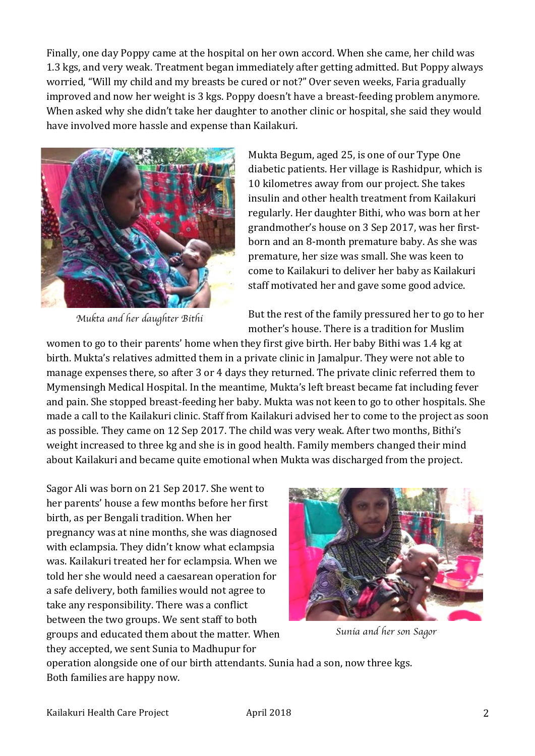Finally, one day Poppy came at the hospital on her own accord. When she came, her child was 1.3 kgs, and very weak. Treatment began immediately after getting admitted. But Poppy always worried, "Will my child and my breasts be cured or not?" Over seven weeks, Faria gradually improved and now her weight is 3 kgs. Poppy doesn't have a breast-feeding problem anymore. When asked why she didn't take her daughter to another clinic or hospital, she said they would have involved more hassle and expense than Kailakuri.



*Mukta and her daughter Bithi*

Mukta Begum, aged 25, is one of our Type One diabetic patients. Her village is Rashidpur, which is 10 kilometres away from our project. She takes insulin and other health treatment from Kailakuri regularly. Her daughter Bithi, who was born at her grandmother's house on 3 Sep 2017, was her firstborn and an 8-month premature baby. As she was premature, her size was small. She was keen to come to Kailakuri to deliver her baby as Kailakuri staff motivated her and gave some good advice.

But the rest of the family pressured her to go to her mother's house. There is a tradition for Muslim

women to go to their parents' home when they first give birth. Her baby Bithi was 1.4 kg at birth. Mukta's relatives admitted them in a private clinic in Jamalpur. They were not able to manage expenses there, so after 3 or 4 days they returned. The private clinic referred them to Mymensingh Medical Hospital. In the meantime, Mukta's left breast became fat including fever and pain. She stopped breast-feeding her baby. Mukta was not keen to go to other hospitals. She made a call to the Kailakuri clinic. Staff from Kailakuri advised her to come to the project as soon as possible. They came on 12 Sep 2017. The child was very weak. After two months, Bithi's weight increased to three kg and she is in good health. Family members changed their mind about Kailakuri and became quite emotional when Mukta was discharged from the project.

Sagor Ali was born on 21 Sep 2017. She went to her parents' house a few months before her first birth, as per Bengali tradition. When her pregnancy was at nine months, she was diagnosed with eclampsia. They didn't know what eclampsia was. Kailakuri treated her for eclampsia. When we told her she would need a caesarean operation for a safe delivery, both families would not agree to take any responsibility. There was a conflict between the two groups. We sent staff to both groups and educated them about the matter. When they accepted, we sent Sunia to Madhupur for



*Sunia and her son Sagor*

operation alongside one of our birth attendants. Sunia had a son, now three kgs. Both families are happy now.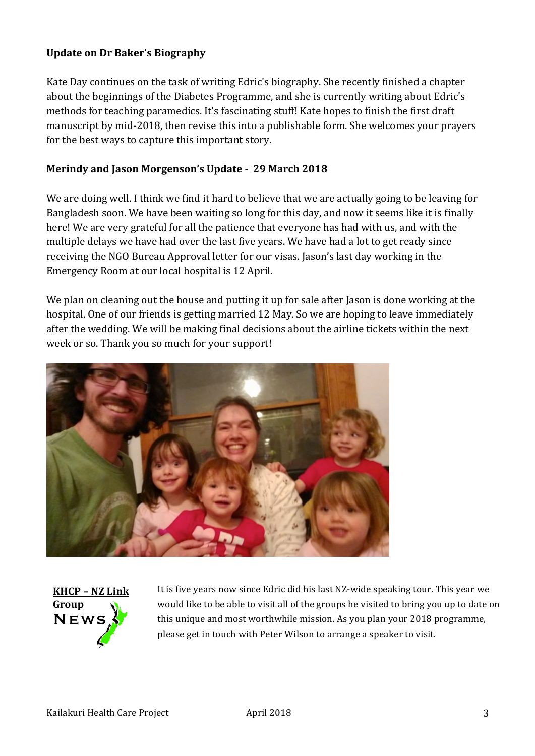### **Update on Dr Baker's Biography**

Kate Day continues on the task of writing Edric's biography. She recently finished a chapter about the beginnings of the Diabetes Programme, and she is currently writing about Edric's methods for teaching paramedics. It's fascinating stuff! Kate hopes to finish the first draft manuscript by mid-2018, then revise this into a publishable form. She welcomes your prayers for the best ways to capture this important story.

### **Merindy and Jason Morgenson's Update - 29 March 2018**

We are doing well. I think we find it hard to believe that we are actually going to be leaving for Bangladesh soon. We have been waiting so long for this day, and now it seems like it is finally here! We are very grateful for all the patience that everyone has had with us, and with the multiple delays we have had over the last five years. We have had a lot to get ready since receiving the NGO Bureau Approval letter for our visas. Jason's last day working in the Emergency Room at our local hospital is 12 April.

We plan on cleaning out the house and putting it up for sale after Jason is done working at the hospital. One of our friends is getting married 12 May. So we are hoping to leave immediately after the wedding. We will be making final decisions about the airline tickets within the next week or so. Thank you so much for your support!





It is five years now since Edric did his last NZ-wide speaking tour. This year we would like to be able to visit all of the groups he visited to bring you up to date on this unique and most worthwhile mission. As you plan your 2018 programme, please get in touch with Peter Wilson to arrange a speaker to visit.